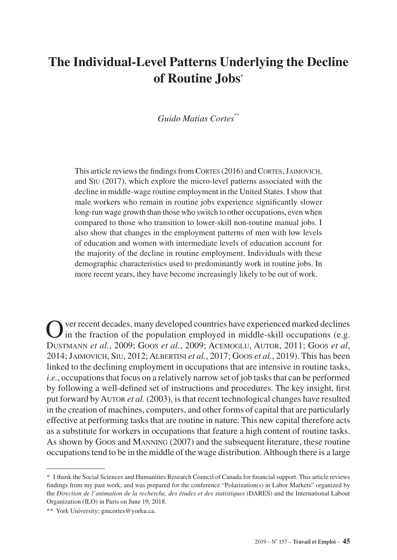# **The Individual-Level Patterns Underlying the Decline of Routine Jobs\***

## *Guido Matias Cortes\*\**

This article reviews the findings from CORTES (2016) and CORTES, JAIMOVICH, and Siu (2017), which explore the micro-level patterns associated with the decline in middle-wage routine employment in the United States. I show that male workers who remain in routine jobs experience significantly slower long-run wage growth than those who switch to other occupations, even when compared to those who transition to lower-skill non-routine manual jobs. I also show that changes in the employment patterns of men with low levels of education and women with intermediate levels of education account for the majority of the decline in routine employment. Individuals with these demographic characteristics used to predominantly work in routine jobs. In more recent years, they have become increasingly likely to be out of work.

ver recent decades, many developed countries have experienced marked declines in the fraction of the population employed in middle-skill occupations (e.g. Dustmann *et al.*, 2009; Goos *et al.*, 2009; Acemoglu, Autor, 2011; Goos *et al*, 2014; Jaimovich, Siu, 2012; Albertini *et al.*, 2017; Goos *et al.*, 2019). This has been linked to the declining employment in occupations that are intensive in routine tasks, *i.e.*, occupations that focus on a relatively narrow set of job tasks that can be performed by following a well-defined set of instructions and procedures. The key insight, first put forward by AUTOR *et al.* (2003), is that recent technological changes have resulted in the creation of machines, computers, and other forms of capital that are particularly effective at performing tasks that are routine in nature. This new capital therefore acts as a substitute for workers in occupations that feature a high content of routine tasks. As shown by Goos and Manning (2007) and the subsequent literature, these routine occupations tend to be in the middle of the wage distribution. Although there is a large

<sup>\*</sup> I thank the Social Sciences and Humanities Research Council of Canada for financial support. This article reviews findings from my past work, and was prepared for the conference "Polarization(s) in Labor Markets" organized by the *Direction de l'animation de la recherche, des études et des statistiques* (DARES) and the International Labour Organization (ILO) in Paris on June 19, 2018.

<sup>\*\*</sup> York University; [gmcortes@yorku.ca](mailto:gmcortes%40yorku.ca?subject=).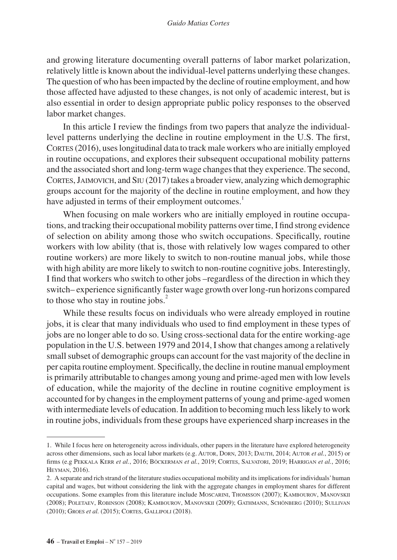and growing literature documenting overall patterns of labor market polarization, relatively little is known about the individual-level patterns underlying these changes. The question of who has been impacted by the decline of routine employment, and how those affected have adjusted to these changes, is not only of academic interest, but is also essential in order to design appropriate public policy responses to the observed labor market changes.

In this article I review the findings from two papers that analyze the individuallevel patterns underlying the decline in routine employment in the U.S. The first, CORTES (2016), uses longitudinal data to track male workers who are initially employed in routine occupations, and explores their subsequent occupational mobility patterns and the associated short and long-term wage changes that they experience. The second, Cortes, Jaimovich, and Siu (2017) takes a broader view, analyzing which demographic groups account for the majority of the decline in routine employment, and how they have adjusted in terms of their employment outcomes.<sup>1</sup>

When focusing on male workers who are initially employed in routine occupations, and tracking their occupational mobility patterns over time, I find strong evidence of selection on ability among those who switch occupations. Specifically, routine workers with low ability (that is, those with relatively low wages compared to other routine workers) are more likely to switch to non-routine manual jobs, while those with high ability are more likely to switch to non-routine cognitive jobs. Interestingly, I find that workers who switch to other jobs –regardless of the direction in which they switch– experience significantly faster wage growth over long-run horizons compared to those who stay in routine jobs.<sup>2</sup>

While these results focus on individuals who were already employed in routine jobs, it is clear that many individuals who used to find employment in these types of jobs are no longer able to do so. Using cross-sectional data for the entire working-age population in the U.S. between 1979 and 2014, I show that changes among a relatively small subset of demographic groups can account for the vast majority of the decline in per capita routine employment. Specifically, the decline in routine manual employment is primarily attributable to changes among young and prime-aged men with low levels of education, while the majority of the decline in routine cognitive employment is accounted for by changes in the employment patterns of young and prime-aged women with intermediate levels of education. In addition to becoming much less likely to work in routine jobs, individuals from these groups have experienced sharp increases in the

<sup>1.</sup> While I focus here on heterogeneity across individuals, other papers in the literature have explored heterogeneity across other dimensions, such as local labor markets (e.g. Autor, Dorn, 2013; Dauth, 2014; Autor *et al.*, 2015) or firms (e.g Pekkala Kerr *et al.*, 2016; Böckerman *et al.*, 2019; Cortes, Salvatori, 2019; Harrigan *et al.*, 2016; Heyman, 2016).

<sup>2.</sup> A separate and rich strand of the literature studies occupational mobility and its implications for individuals' human capital and wages, but without considering the link with the aggregate changes in employment shares for different occupations. Some examples from this literature include Moscarini, Thomsson (2007); KAMBOUROV, MANOVSKII (2008); Poletaev, Robinson (2008); Kambourov, Manovskii (2009); Gathmann, Schönberg (2010); Sullivan (2010); Groes *et al.* (2015); Cortes, Gallipoli (2018).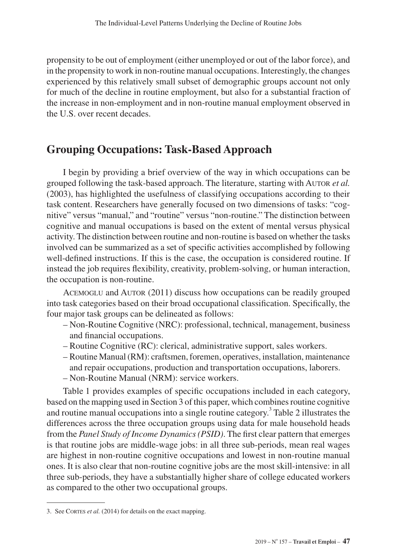propensity to be out of employment (either unemployed or out of the labor force), and in the propensity to work in non-routine manual occupations. Interestingly, the changes experienced by this relatively small subset of demographic groups account not only for much of the decline in routine employment, but also for a substantial fraction of the increase in non-employment and in non-routine manual employment observed in the U.S. over recent decades.

# **Grouping Occupations: Task-Based Approach**

I begin by providing a brief overview of the way in which occupations can be grouped following the task-based approach. The literature, starting with Autor *et al.* (2003), has highlighted the usefulness of classifying occupations according to their task content. Researchers have generally focused on two dimensions of tasks: "cognitive" versus "manual," and "routine" versus "non-routine." The distinction between cognitive and manual occupations is based on the extent of mental versus physical activity. The distinction between routine and non-routine is based on whether the tasks involved can be summarized as a set of specific activities accomplished by following well-defined instructions. If this is the case, the occupation is considered routine. If instead the job requires flexibility, creativity, problem-solving, or human interaction, the occupation is non-routine.

Acemoglu and Autor (2011) discuss how occupations can be readily grouped into task categories based on their broad occupational classification. Specifically, the four major task groups can be delineated as follows:

- Non-Routine Cognitive (NRC): professional, technical, management, business and financial occupations.
- Routine Cognitive (RC): clerical, administrative support, sales workers.
- Routine Manual (RM): craftsmen, foremen, operatives, installation, maintenance and repair occupations, production and transportation occupations, laborers.
- Non-Routine Manual (NRM): service workers.

Table 1 provides examples of specific occupations included in each category, based on the mapping used in Section 3 of this paper, which combines routine cognitive and routine manual occupations into a single routine category.<sup>3</sup> Table 2 illustrates the differences across the three occupation groups using data for male household heads from the *Panel Study of Income Dynamics (PSID)*. The first clear pattern that emerges is that routine jobs are middle-wage jobs: in all three sub-periods, mean real wages are highest in non-routine cognitive occupations and lowest in non-routine manual ones. It is also clear that non-routine cognitive jobs are the most skill-intensive: in all three sub-periods, they have a substantially higher share of college educated workers as compared to the other two occupational groups.

<sup>3.</sup> See Cortes *et al.* (2014) for details on the exact mapping.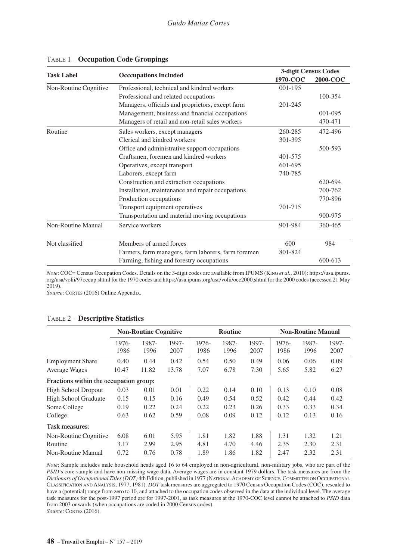| <b>Task Label</b><br><b>Occcupations Included</b><br>Professional, technical and kindred workers<br>Non-Routine Cognitive |                                                     | 3-digit Census Codes |         |
|---------------------------------------------------------------------------------------------------------------------------|-----------------------------------------------------|----------------------|---------|
|                                                                                                                           | 1970-COC                                            | 2000-COC             |         |
|                                                                                                                           |                                                     | 001-195              |         |
|                                                                                                                           | Professional and related occupations                |                      | 100-354 |
|                                                                                                                           | Managers, officials and proprietors, except farm    | 201-245              |         |
|                                                                                                                           | Management, business and financial occupations      |                      | 001-095 |
|                                                                                                                           | Managers of retail and non-retail sales workers     |                      | 470-471 |
| Routine                                                                                                                   | Sales workers, except managers                      | 260-285              | 472-496 |
|                                                                                                                           | Clerical and kindred workers                        | 301-395              |         |
|                                                                                                                           | Office and administrative support occupations       |                      | 500-593 |
|                                                                                                                           | Craftsmen, foremen and kindred workers              | 401-575              |         |
|                                                                                                                           | Operatives, except transport                        | 601-695              |         |
|                                                                                                                           | Laborers, except farm                               | 740-785              |         |
|                                                                                                                           | Construction and extraction occupations             |                      | 620-694 |
|                                                                                                                           | Installation, maintenance and repair occupations    |                      | 700-762 |
|                                                                                                                           | Production occupations                              |                      | 770-896 |
|                                                                                                                           | Transport equipment operatives                      | 701-715              |         |
|                                                                                                                           | Transportation and material moving occupations      |                      | 900-975 |
| Non-Routine Manual                                                                                                        | Service workers                                     | 901-984              | 360-465 |
| Not classified                                                                                                            | Members of armed forces                             | 600                  | 984     |
|                                                                                                                           | Farmers, farm managers, farm laborers, farm foremen | 801-824              |         |
|                                                                                                                           | Farming, fishing and forestry occupations           |                      | 600-613 |

#### Table 1 – **Occupation Code Groupings**

*Note*: COC= Census Occupation Codes. Details on the 3-digit codes are available from IPUMS (King *et al.*, 2010): [https://usa.ipums.](https://usa.ipums.org/usa/volii/97occup.shtml) [org/usa/volii/97occup.shtml](https://usa.ipums.org/usa/volii/97occup.shtml) for the 1970 codes and<https://usa.ipums.org/usa/volii/occ2000.shtml>for the 2000 codes (accessed 21 May 2019).

Source: CORTES (2016) Online Appendix.

#### Table 2 – **Descriptive Statistics**

|                                        | <b>Non-Routine Cognitive</b> |               |               |               | <b>Routine</b> |               | <b>Non-Routine Manual</b> |               |               |
|----------------------------------------|------------------------------|---------------|---------------|---------------|----------------|---------------|---------------------------|---------------|---------------|
|                                        | 1976-<br>1986                | 1987-<br>1996 | 1997-<br>2007 | 1976-<br>1986 | 1987-<br>1996  | 1997-<br>2007 | 1976-<br>1986             | 1987-<br>1996 | 1997-<br>2007 |
| <b>Employment Share</b>                | 0.40                         | 0.44          | 0.42          | 0.54          | 0.50           | 0.49          | 0.06                      | 0.06          | 0.09          |
| Average Wages                          | 10.47                        | 11.82         | 13.78         | 7.07          | 6.78           | 7.30          | 5.65                      | 5.82          | 6.27          |
| Fractions within the occupation group: |                              |               |               |               |                |               |                           |               |               |
| <b>High School Dropout</b>             | 0.03                         | 0.01          | 0.01          | 0.22          | 0.14           | 0.10          | 0.13                      | 0.10          | 0.08          |
| High School Graduate                   | 0.15                         | 0.15          | 0.16          | 0.49          | 0.54           | 0.52          | 0.42                      | 0.44          | 0.42          |
| Some College                           | 0.19                         | 0.22          | 0.24          | 0.22          | 0.23           | 0.26          | 0.33                      | 0.33          | 0.34          |
| College                                | 0.63                         | 0.62          | 0.59          | 0.08          | 0.09           | 0.12          | 0.12                      | 0.13          | 0.16          |
| <b>Task measures:</b>                  |                              |               |               |               |                |               |                           |               |               |
| Non-Routine Cognitive                  | 6.08                         | 6.01          | 5.95          | 1.81          | 1.82           | 1.88          | 1.31                      | 1.32          | 1.21          |
| Routine                                | 3.17                         | 2.99          | 2.95          | 4.81          | 4.70           | 4.46          | 2.35                      | 2.30          | 2.31          |
| Non-Routine Manual                     | 0.72                         | 0.76          | 0.78          | 1.89          | 1.86           | 1.82          | 2.47                      | 2.32          | 2.31          |

*Note*: Sample includes male household heads aged 16 to 64 employed in non-agricultural, non-military jobs, who are part of the *PSID*'s core sample and have non-missing wage data. Average wages are in constant 1979 dollars. The task measures are from the *Dictionary of Occupational Titles(DOT)* 4th Edition, published in 1977 (NationalAcademy of Science, Committee on Occupational Classification and Analysis, 1977, 1981). *DOT* task measures are aggregated to 1970 Census Occupation Codes (COC), rescaled to have a (potential) range from zero to 10, and attached to the occupation codes observed in the data at the individual level. The average task measures for the post-1997 period are for 1997-2001, as task measures at the 1970-COC level cannot be attached to *PSID* data from 2003 onwards (when occupations are coded in 2000 Census codes). *Source*: CORTES (2016).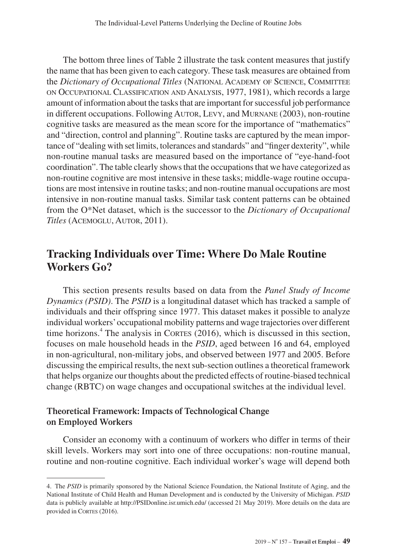The bottom three lines of Table 2 illustrate the task content measures that justify the name that has been given to each category. These task measures are obtained from the *Dictionary of Occupational Titles* (National Academy of Science, Committee on Occupational Classification and Analysis, 1977, 1981), which records a large amount of information about the tasks that are important for successful job performance in different occupations. Following Autor, Levy, and Murnane (2003), non-routine cognitive tasks are measured as the mean score for the importance of "mathematics" and "direction, control and planning". Routine tasks are captured by the mean importance of "dealing with set limits, tolerances and standards" and "finger dexterity", while non-routine manual tasks are measured based on the importance of "eye-hand-foot coordination". The table clearly shows that the occupations that we have categorized as non-routine cognitive are most intensive in these tasks; middle-wage routine occupations are most intensive in routine tasks; and non-routine manual occupations are most intensive in non-routine manual tasks. Similar task content patterns can be obtained from the O\*Net dataset, which is the successor to the *Dictionary of Occupational Titles* (Acemoglu, Autor, 2011).

# **Tracking Individuals over Time: Where Do Male Routine Workers Go?**

This section presents results based on data from the *Panel Study of Income Dynamics (PSID)*. The *PSID* is a longitudinal dataset which has tracked a sample of individuals and their offspring since 1977. This dataset makes it possible to analyze individual workers' occupational mobility patterns and wage trajectories over different time horizons.<sup>4</sup> The analysis in CORTES (2016), which is discussed in this section, focuses on male household heads in the *PSID*, aged between 16 and 64, employed in non-agricultural, non-military jobs, and observed between 1977 and 2005. Before discussing the empirical results, the next sub-section outlines a theoretical framework that helps organize our thoughts about the predicted effects of routine-biased technical change (RBTC) on wage changes and occupational switches at the individual level.

# **Theoretical Framework: Impacts of Technological Change on Employed Workers**

Consider an economy with a continuum of workers who differ in terms of their skill levels. Workers may sort into one of three occupations: non-routine manual, routine and non-routine cognitive. Each individual worker's wage will depend both

<sup>4.</sup> The *PSID* is primarily sponsored by the National Science Foundation, the National Institute of Aging, and the National Institute of Child Health and Human Development and is conducted by the University of Michigan. *PSID* data is publicly available at <http://PSIDonline.isr.umich.edu/> (accessed 21 May 2019). More details on the data are provided in CORTES (2016).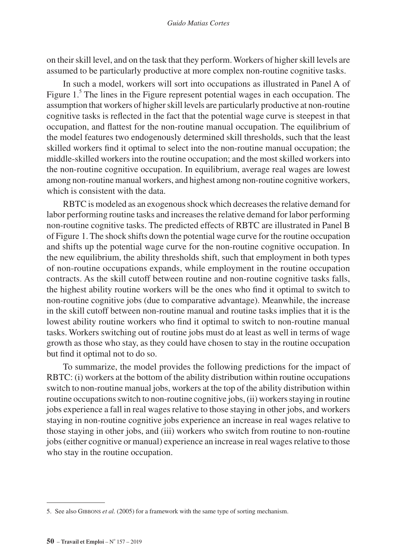on their skill level, and on the task that they perform. Workers of higher skill levels are assumed to be particularly productive at more complex non-routine cognitive tasks.

In such a model, workers will sort into occupations as illustrated in Panel A of Figure 1.<sup>5</sup> The lines in the Figure represent potential wages in each occupation. The assumption that workers of higher skill levels are particularly productive at non-routine cognitive tasks is reflected in the fact that the potential wage curve is steepest in that occupation, and flattest for the non-routine manual occupation. The equilibrium of the model features two endogenously determined skill thresholds, such that the least skilled workers find it optimal to select into the non-routine manual occupation; the middle-skilled workers into the routine occupation; and the most skilled workers into the non-routine cognitive occupation. In equilibrium, average real wages are lowest among non-routine manual workers, and highest among non-routine cognitive workers, which is consistent with the data.

RBTC is modeled as an exogenous shock which decreases the relative demand for labor performing routine tasks and increases the relative demand for labor performing non-routine cognitive tasks. The predicted effects of RBTC are illustrated in Panel B of Figure 1. The shock shifts down the potential wage curve for the routine occupation and shifts up the potential wage curve for the non-routine cognitive occupation. In the new equilibrium, the ability thresholds shift, such that employment in both types of non-routine occupations expands, while employment in the routine occupation contracts. As the skill cutoff between routine and non-routine cognitive tasks falls, the highest ability routine workers will be the ones who find it optimal to switch to non-routine cognitive jobs (due to comparative advantage). Meanwhile, the increase in the skill cutoff between non-routine manual and routine tasks implies that it is the lowest ability routine workers who find it optimal to switch to non-routine manual tasks. Workers switching out of routine jobs must do at least as well in terms of wage growth as those who stay, as they could have chosen to stay in the routine occupation but find it optimal not to do so.

To summarize, the model provides the following predictions for the impact of RBTC: (i) workers at the bottom of the ability distribution within routine occupations switch to non-routine manual jobs, workers at the top of the ability distribution within routine occupations switch to non-routine cognitive jobs, (ii) workers staying in routine jobs experience a fall in real wages relative to those staying in other jobs, and workers staying in non-routine cognitive jobs experience an increase in real wages relative to those staying in other jobs, and (iii) workers who switch from routine to non-routine jobs (either cognitive or manual) experience an increase in real wages relative to those who stay in the routine occupation.

<sup>5.</sup> See also Gibbons *et al.* (2005) for a framework with the same type of sorting mechanism.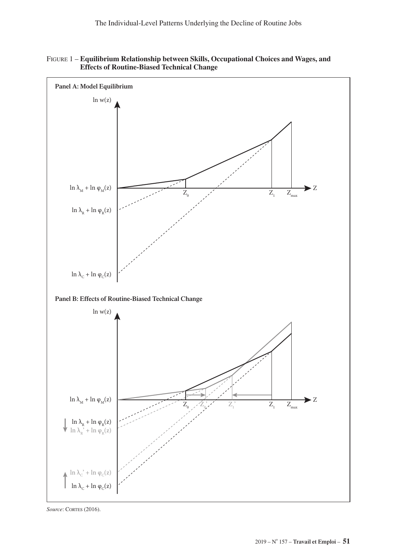



Source: CORTES (2016).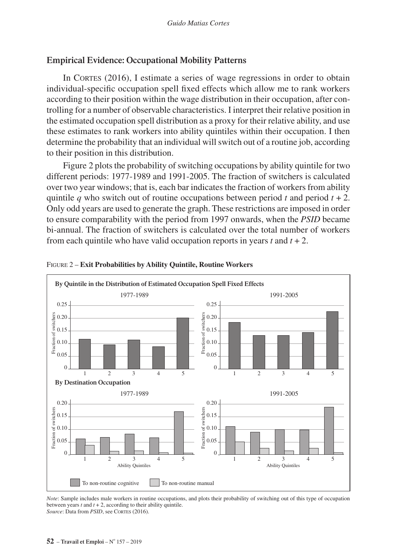## **Empirical Evidence: Occupational Mobility Patterns**

In CORTES  $(2016)$ , I estimate a series of wage regressions in order to obtain individual-specific occupation spell fixed effects which allow me to rank workers according to their position within the wage distribution in their occupation, after controlling for a number of observable characteristics. I interpret their relative position in the estimated occupation spell distribution as a proxy for their relative ability, and use these estimates to rank workers into ability quintiles within their occupation. I then determine the probability that an individual will switch out of a routine job, according to their position in this distribution.

Figure 2 plots the probability of switching occupations by ability quintile for two different periods: 1977-1989 and 1991-2005. The fraction of switchers is calculated over two year windows; that is, each bar indicates the fraction of workers from ability quintile *q* who switch out of routine occupations between period *t* and period  $t + 2$ . Only odd years are used to generate the graph. These restrictions are imposed in order to ensure comparability with the period from 1997 onwards, when the *PSID* became bi-annual. The fraction of switchers is calculated over the total number of workers from each quintile who have valid occupation reports in years  $t$  and  $t + 2$ .



#### Figure 2 – **Exit Probabilities by Ability Quintile, Routine Workers**

*Note*: Sample includes male workers in routine occupations, and plots their probability of switching out of this type of occupation between years *t* and *t* + 2, according to their ability quintile. Source: Data from *PSID*, see CORTES (2016).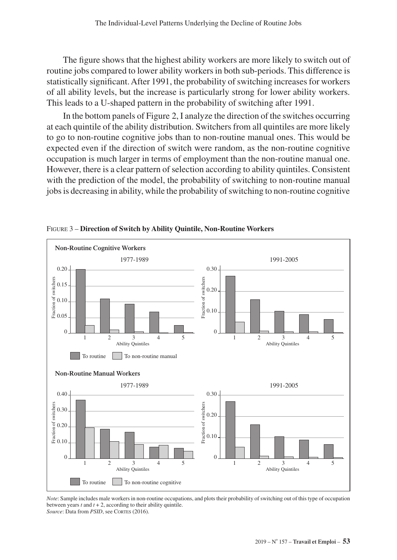The figure shows that the highest ability workers are more likely to switch out of routine jobs compared to lower ability workers in both sub-periods. This difference is statistically significant. After 1991, the probability of switching increases for workers of all ability levels, but the increase is particularly strong for lower ability workers. This leads to a U-shaped pattern in the probability of switching after 1991.

In the bottom panels of Figure 2, I analyze the direction of the switches occurring at each quintile of the ability distribution. Switchers from all quintiles are more likely to go to non-routine cognitive jobs than to non-routine manual ones. This would be expected even if the direction of switch were random, as the non-routine cognitive occupation is much larger in terms of employment than the non-routine manual one. However, there is a clear pattern of selection according to ability quintiles. Consistent with the prediction of the model, the probability of switching to non-routine manual jobs is decreasing in ability, while the probability of switching to non-routine cognitive



Figure 3 – **Direction of Switch by Ability Quintile, Non-Routine Workers**

*Note*: Sample includes male workers in non-routine occupations, and plots their probability of switching out of this type of occupation between years *t* and *t* + 2, according to their ability quintile. Source: Data from *PSID*, see CORTES (2016).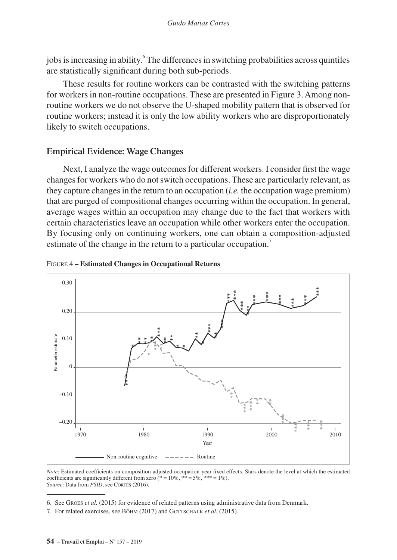jobs is increasing in ability.<sup>6</sup> The differences in switching probabilities across quintiles are statistically significant during both sub-periods.

These results for routine workers can be contrasted with the switching patterns for workers in non-routine occupations. These are presented in Figure 3. Among nonroutine workers we do not observe the U-shaped mobility pattern that is observed for routine workers; instead it is only the low ability workers who are disproportionately likely to switch occupations.

## **Empirical Evidence: Wage Changes**

Next, I analyze the wage outcomes for different workers. I consider first the wage changes for workers who do not switch occupations. These are particularly relevant, as they capture changes in the return to an occupation (*i.e.* the occupation wage premium) that are purged of compositional changes occurring within the occupation. In general, average wages within an occupation may change due to the fact that workers with certain characteristics leave an occupation while other workers enter the occupation. By focusing only on continuing workers, one can obtain a composition-adjusted estimate of the change in the return to a particular occupation.<sup>7</sup>





*Note*: Estimated coefficients on composition-adjusted occupation-year fixed effects. Stars denote the level at which the estimated coefficients are significantly different from zero  $(* = 10\%, ** = 5\%, *** = 1\%)$ . Source: Data from *PSID*, see CORTES (2016).

<sup>6.</sup> See Groes *et al.* (2015) for evidence of related patterns using administrative data from Denmark.

<sup>7.</sup> For related exercises, see BÖHM (2017) and GOTTSCHALK *et al.* (2015).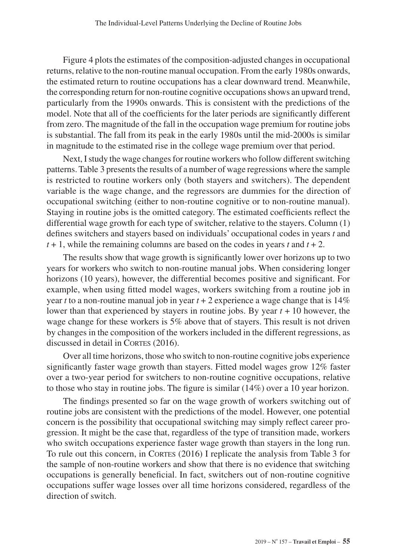Figure 4 plots the estimates of the composition-adjusted changes in occupational returns, relative to the non-routine manual occupation. From the early 1980s onwards, the estimated return to routine occupations has a clear downward trend. Meanwhile, the corresponding return for non-routine cognitive occupations shows an upward trend, particularly from the 1990s onwards. This is consistent with the predictions of the model. Note that all of the coefficients for the later periods are significantly different from zero. The magnitude of the fall in the occupation wage premium for routine jobs is substantial. The fall from its peak in the early 1980s until the mid-2000s is similar in magnitude to the estimated rise in the college wage premium over that period.

Next, I study the wage changes for routine workers who follow different switching patterns. Table 3 presents the results of a number of wage regressions where the sample is restricted to routine workers only (both stayers and switchers). The dependent variable is the wage change, and the regressors are dummies for the direction of occupational switching (either to non-routine cognitive or to non-routine manual). Staying in routine jobs is the omitted category. The estimated coefficients reflect the differential wage growth for each type of switcher, relative to the stayers. Column (1) defines switchers and stayers based on individuals' occupational codes in years *t* and  $t + 1$ , while the remaining columns are based on the codes in years  $t$  and  $t + 2$ .

The results show that wage growth is significantly lower over horizons up to two years for workers who switch to non-routine manual jobs. When considering longer horizons (10 years), however, the differential becomes positive and significant. For example, when using fitted model wages, workers switching from a routine job in year *t* to a non-routine manual job in year  $t + 2$  experience a wage change that is 14% lower than that experienced by stayers in routine jobs. By year *t* + 10 however, the wage change for these workers is 5% above that of stayers. This result is not driven by changes in the composition of the workers included in the different regressions, as discussed in detail in CORTES (2016).

Over all time horizons, those who switch to non-routine cognitive jobs experience significantly faster wage growth than stayers. Fitted model wages grow 12% faster over a two-year period for switchers to non-routine cognitive occupations, relative to those who stay in routine jobs. The figure is similar (14%) over a 10 year horizon.

The findings presented so far on the wage growth of workers switching out of routine jobs are consistent with the predictions of the model. However, one potential concern is the possibility that occupational switching may simply reflect career progression. It might be the case that, regardless of the type of transition made, workers who switch occupations experience faster wage growth than stayers in the long run. To rule out this concern, in CORTES (2016) I replicate the analysis from Table 3 for the sample of non-routine workers and show that there is no evidence that switching occupations is generally beneficial. In fact, switchers out of non-routine cognitive occupations suffer wage losses over all time horizons considered, regardless of the direction of switch.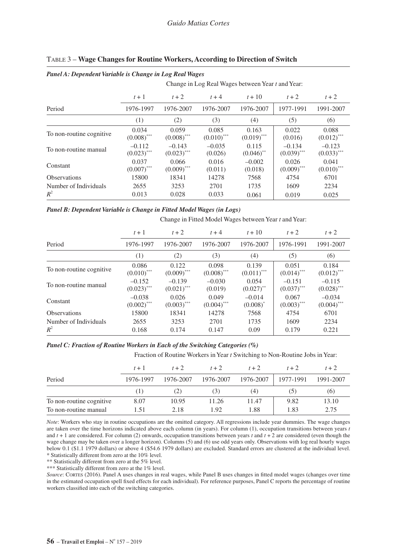|                           |                           |                           | Change in Log Real Wages between Year t and Year: |                        |                           |                                   |
|---------------------------|---------------------------|---------------------------|---------------------------------------------------|------------------------|---------------------------|-----------------------------------|
|                           | $t+1$                     | $t+2$                     | $t+4$                                             | $t + 10$               | $t+2$                     | $t+2$                             |
| Period                    | 1976-1997                 | 1976-2007                 | 1976-2007                                         | 1976-2007              | 1977-1991                 | 1991-2007                         |
|                           | (1)                       | (2)                       | (3)                                               | (4)                    | (5)                       | (6)                               |
| To non-routine cognitive. | 0.034<br>$(0.008)$ ***    | 0.059<br>$(0.008)$ ***    | 0.085<br>$(0.010)$ ***                            | 0.163<br>$(0.019)$ *** | 0.022<br>(0.016)          | 0.088<br>$(0.012)$ ***            |
| To non-routine manual     | $-0.112$<br>$(0.023)$ *** | $-0.143$<br>$(0.023)$ *** | $-0.035$<br>(0.026)                               | 0.115<br>$(0.046)$ **  | $-0.134$<br>$(0.039)$ *** | $-0.123$<br>$(0.033)$ ***         |
| Constant                  | 0.037<br>$(0.007)$ ***    | 0.066<br>$(0.009)$ ***    | 0.016<br>(0.011)                                  | $-0.002$<br>(0.018)    | 0.026<br>$(0.009)$ ***    | 0.041<br>$(0.010)$ <sup>***</sup> |
| <b>Observations</b>       | 15800                     | 18341                     | 14278                                             | 7568                   | 4754                      | 6701                              |
| Number of Individuals     | 2655                      | 3253                      | 2701                                              | 1735                   | 1609                      | 2234                              |
| $R^2$                     | 0.013                     | 0.028                     | 0.033                                             | 0.061                  | 0.019                     | 0.025                             |

#### Table 3 – **Wage Changes for Routine Workers, According to Direction of Switch**

#### *Panel B: Dependent Variable is Change in Fitted Model Wages (in Logs)*

*Panel A: Dependent Variable is Change in Log Real Wages*

Change in Fitted Model Wages between Year *t* and Year:

|                          | $t+1$                     | $t+2$                     | $t+4$                  | $t + 10$                  | $t+2$                     | $t+2$                                |
|--------------------------|---------------------------|---------------------------|------------------------|---------------------------|---------------------------|--------------------------------------|
| Period                   | 1976-1997                 | 1976-2007                 | 1976-2007              | 1976-2007                 | 1976-1991                 | 1991-2007                            |
|                          | (1)                       | (2)                       | (3)                    | (4)                       | (5)                       | (6)                                  |
| To non-routine cognitive | 0.086<br>$(0.010)$ ***    | 0.122<br>$(0.009)$ ***    | 0.098<br>$(0.008)$ *** | 0.139<br>$(0.011)$ ***    | 0.051<br>$(0.014)$ ***    | 0.184<br>$(0.012)$ ***               |
| To non-routine manual    | $-0.152$<br>$(0.023)$ *** | $-0.139$<br>$(0.021)$ *** | $-0.030$<br>(0.019)    | 0.054<br>$(0.027)$ **     | $-0.151$<br>$(0.037)$ *** | $-0.115$<br>$(0.028)$ ***            |
| Constant                 | $-0.038$<br>$(0.002)$ *** | 0.026<br>$(0.003)$ ***    | 0.049<br>$(0.004)$ *** | $-0.014$<br>$(0.008)^{*}$ | 0.067<br>$(0.003)$ ***    | $-0.034$<br>$(0.004)$ <sup>***</sup> |
| <b>Observations</b>      | 15800                     | 18341                     | 14278                  | 7568                      | 4754                      | 6701                                 |
| Number of Individuals    | 2655                      | 3253                      | 2701                   | 1735                      | 1609                      | 2234                                 |
| $R^2$                    | 0.168                     | 0.174                     | 0.147                  | 0.09                      | 0.179                     | 0.221                                |

#### *Panel C: Fraction of Routine Workers in Each of the Switching Categories (%)*

Fraction of Routine Workers in Year *t* Switching to Non-Routine Jobs in Year:

|                          | $t+1$     | $t+2$     | $t+2$     | $t+2$     | $t+2$     | $t+2$     |
|--------------------------|-----------|-----------|-----------|-----------|-----------|-----------|
| Period                   | 1976-1997 | 1976-2007 | 1976-2007 | 1976-2007 | 1977-1991 | 1991-2007 |
|                          |           | (2)       | (3)       | (4)       | (S)       | (6)       |
| To non-routine cognitive | 8.07      | 10.95     | 11.26     | 11.47     | 9.82      | 13.10     |
| To non-routine manual    | 1.51      | 2.18      | 1.92      | 1.88      | 1.83      | 2.75      |

*Note*: Workers who stay in routine occupations are the omitted category. All regressions include year dummies. The wage changes are taken over the time horizons indicated above each column (in years). For column (1), occupation transitions between years *t*  and *t* + 1 are considered. For column (2) onwards, occupation transitions between years *t* and *t* + 2 are considered (even though the wage change may be taken over a longer horizon). Columns (5) and (6) use odd years only. Observations with log real hourly wages below 0.1 (\$1.1 1979 dollars) or above 4 (\$54.6 1979 dollars) are excluded. Standard errors are clustered at the individual level. \* Statistically different from zero at the 10% level.

\*\* Statistically different from zero at the 5% level.

\*\*\* Statistically different from zero at the 1% level.

*Source*: Cortes (2016). Panel A uses changes in real wages, while Panel B uses changes in fitted model wages (changes over time in the estimated occupation spell fixed effects for each individual). For reference purposes, Panel C reports the percentage of routine workers classified into each of the switching categories.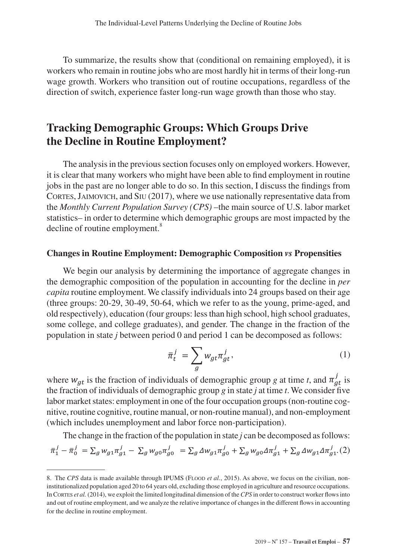To summarize, the results show that (conditional on remaining employed), it is workers who remain in routine jobs who are most hardly hit in terms of their long-run wage growth. Workers who transition out of routine occupations, regardless of the direction of switch, experience faster long-run wage growth than those who stay.

# **Tracking Demographic Groups: Which Groups Drive the Decline in Routine Employment?**

The analysis in the previous section focuses only on employed workers. However, it is clear that many workers who might have been able to find employment in routine jobs in the past are no longer able to do so. In this section, I discuss the findings from CORTES, JAIMOVICH, and SIU (2017), where we use nationally representative data from the *Monthly Current Population Survey (CPS)* –the main source of U.S. labor market statistics– in order to determine which demographic groups are most impacted by the decline of routine employment.<sup>8</sup>

### **Changes in Routine Employment: Demographic Composition** *vs* **Propensities**

We begin our analysis by determining the importance of aggregate changes in the demographic composition of the population in accounting for the decline in *per capita* routine employment. We classify individuals into 24 groups based on their age (three groups: 20-29, 30-49, 50-64, which we refer to as the young, prime-aged, and old respectively), education (four groups: less than high school, high school graduates, some college, and college graduates), and gender. The change in the fraction of the population in state *j* between period 0 and period 1 can be decomposed as follows:

$$
\bar{\pi}_t^j = \sum_g w_{gt} \pi_{gt}^j,\tag{1}
$$

where  $w_{gt}$  is the fraction of individuals of demographic group *g* at time *t*, and  $\pi_{at}^{j}$  is the fraction of individuals of demographic group *g* in state *j* at time *t*. We consider five labor market states: employment in one of the four occupation groups (non-routine cognitive, routine cognitive, routine manual, or non-routine manual), and non-employment (which includes unemployment and labor force non-participation).

The change in the fraction of the population in state *j* can be decomposed as follows:  
\n
$$
\bar{\pi}_1^j - \bar{\pi}_0^j = \sum_g w_{g1} \pi_{g1}^j - \sum_g w_{g0} \pi_{g0}^j = \sum_g \Delta w_{g1} \pi_{g0}^j + \sum_g w_{g0} \Delta \pi_{g1}^j + \sum_g \Delta w_{g1} \Delta \pi_{g1}^j
$$
 (2)

<sup>8.</sup> The *CPS* data is made available through IPUMS (FLOOD *et al.*, 2015). As above, we focus on the civilian, noninstitutionalized population aged 20 to 64 years old, excluding those employed in agriculture and resource occupations. In Cortes *et al.* (2014), we exploit the limited longitudinal dimension of the *CPS* in order to construct worker flows into and out of routine employment, and we analyze the relative importance of changes in the different flows in accounting for the decline in routine employment.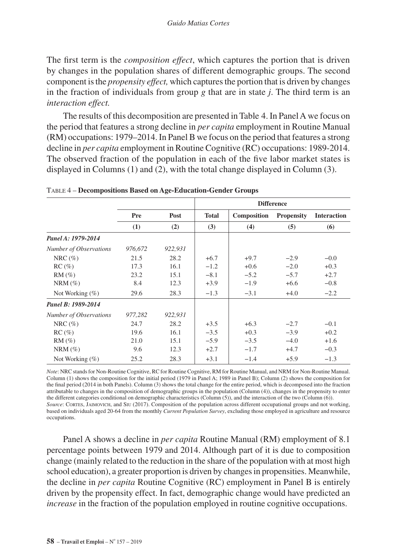The first term is the *composition effect*, which captures the portion that is driven by changes in the population shares of different demographic groups. The second component is the *propensity effect,* which captures the portion that is driven by changes in the fraction of individuals from group *g* that are in state *j*. The third term is an *interaction effect.*

The results of this decomposition are presented in Table 4. In Panel A we focus on the period that features a strong decline in *per capita* employment in Routine Manual (RM) occupations: 1979–2014. In Panel B we focus on the period that features a strong decline in *per capita* employment in Routine Cognitive (RC) occupations: 1989-2014. The observed fraction of the population in each of the five labor market states is displayed in Columns (1) and (2), with the total change displayed in Column (3).

|                        |         | <b>Difference</b> |              |             |                   |                    |
|------------------------|---------|-------------------|--------------|-------------|-------------------|--------------------|
|                        | Pre     | Post              | <b>Total</b> | Composition | <b>Propensity</b> | <b>Interaction</b> |
|                        | (1)     | (2)               | (3)          | (4)         | (5)               | (6)                |
| Panel A: 1979-2014     |         |                   |              |             |                   |                    |
| Number of Observations | 976,672 | 922,931           |              |             |                   |                    |
| NRC $(\% )$            | 21.5    | 28.2              | $+6.7$       | $+9.7$      | $-2.9$            | $-0.0$             |
| $RC (\%)$              | 17.3    | 16.1              | $-1.2$       | $+0.6$      | $-2.0$            | $+0.3$             |
| $RM(\%)$               | 23.2    | 15.1              | $-8.1$       | $-5.2$      | $-5.7$            | $+2.7$             |
| $NRM(\%)$              | 8.4     | 12.3              | $+3.9$       | $-1.9$      | $+6.6$            | $-0.8$             |
| Not Working $(\% )$    | 29.6    | 28.3              | $-1.3$       | $-3.1$      | $+4.0$            | $-2.2$             |
| Panel B: 1989-2014     |         |                   |              |             |                   |                    |
| Number of Observations | 977,282 | 922,931           |              |             |                   |                    |
| $NRC(\%)$              | 24.7    | 28.2              | $+3.5$       | $+6.3$      | $-2.7$            | $-0.1$             |
| $RC (\%)$              | 19.6    | 16.1              | $-3.5$       | $+0.3$      | $-3.9$            | $+0.2$             |
| $RM(\%)$               | 21.0    | 15.1              | $-5.9$       | $-3.5$      | $-4.0$            | $+1.6$             |
| $NRM(\%)$              | 9.6     | 12.3              | $+2.7$       | $-1.7$      | $+4.7$            | $-0.3$             |
| Not Working $(\%)$     | 25.2    | 28.3              | $+3.1$       | $-1.4$      | $+5.9$            | $-1.3$             |

Table 4 – **Decompositions Based on Age-Education-Gender Groups**

*Note*: NRC stands for Non-Routine Cognitive, RC for Routine Cognitive, RM for Routine Manual, and NRM for Non-Routine Manual. Column (1) shows the composition for the initial period (1979 in Panel A; 1989 in Panel B); Column (2) shows the composition for the final period (2014 in both Panels). Column (3) shows the total change for the entire period, which is decomposed into the fraction attributable to changes in the composition of demographic groups in the population (Column (4)), changes in the propensity to enter the different categories conditional on demographic characteristics (Column (5)), and the interaction of the two (Column (6)). *Source*: Cortes, Jaimovich, and Siu (2017). Composition of the population across different occupational groups and not working, based on individuals aged 20-64 from the monthly *Current Population Survey*, excluding those employed in agriculture and resource occupations.

Panel A shows a decline in *per capita* Routine Manual (RM) employment of 8.1 percentage points between 1979 and 2014. Although part of it is due to composition change (mainly related to the reduction in the share of the population with at most high school education), a greater proportion is driven by changes in propensities. Meanwhile, the decline in *per capita* Routine Cognitive (RC) employment in Panel B is entirely driven by the propensity effect. In fact, demographic change would have predicted an *increase* in the fraction of the population employed in routine cognitive occupations.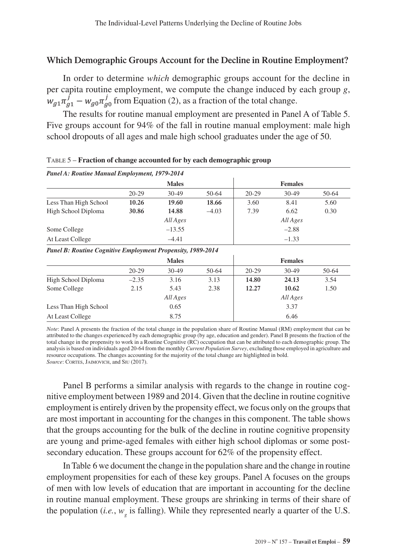# **Which Demographic Groups Account for the Decline in Routine Employment?**

In order to determine *which* demographic groups account for the decline in per capita routine employment, we compute the change induced by each group *g*,  $w_{a1} \pi_{a1}^{j} - w_{a0} \pi_{a0}^{j}$  from Equation (2), as a fraction of the total change.

The results for routine manual employment are presented in Panel A of Table 5. Five groups account for 94% of the fall in routine manual employment: male high school dropouts of all ages and male high school graduates under the age of 50.

| Panel A: Routine Manual Employment, 1979-2014 |                    |         |         |                |         |       |  |  |  |
|-----------------------------------------------|--------------------|---------|---------|----------------|---------|-------|--|--|--|
|                                               | <b>Males</b>       |         |         | <b>Females</b> |         |       |  |  |  |
|                                               | $20 - 29$          | $30-49$ | 50-64   | $20 - 29$      | $30-49$ | 50-64 |  |  |  |
| Less Than High School                         | 10.26              | 19.60   | 18.66   | 3.60           | 8.41    | 5.60  |  |  |  |
| High School Diploma                           | 30.86              | 14.88   | $-4.03$ | 7.39           | 6.62    | 0.30  |  |  |  |
|                                               | All Ages           |         |         | All Ages       |         |       |  |  |  |
| Some College                                  | $-13.55$           |         | $-2.88$ |                |         |       |  |  |  |
| At Least College                              | $-4.41$<br>$-1.33$ |         |         |                |         |       |  |  |  |

Table 5 – **Fraction of change accounted for by each demographic group**

#### *Panel B: Routine Cognitive Employment Propensity, 1989-2014*

|                       | <b>Males</b> |         |       | <b>Females</b> |       |       |  |
|-----------------------|--------------|---------|-------|----------------|-------|-------|--|
|                       | $20-29$      | $30-49$ | 50-64 | $20 - 29$      | 30-49 | 50-64 |  |
| High School Diploma   | $-2.35$      | 3.16    | 3.13  | 14.80          | 24.13 | 3.54  |  |
| Some College          | 2.15         | 5.43    | 2.38  | 12.27          | 10.62 | 1.50  |  |
|                       | All Ages     |         |       | All Ages       |       |       |  |
| Less Than High School |              | 0.65    |       |                | 3.37  |       |  |
| At Least College      |              | 8.75    |       |                | 6.46  |       |  |

*Note*: Panel A presents the fraction of the total change in the population share of Routine Manual (RM) employment that can be attributed to the changes experienced by each demographic group (by age, education and gender). Panel B presents the fraction of the total change in the propensity to work in a Routine Cognitive (RC) occupation that can be attributed to each demographic group. The analysis is based on individuals aged 20-64 from the monthly *Current Population Survey*, excluding those employed in agriculture and resource occupations. The changes accounting for the majority of the total change are highlighted in bold. Source: CORTES, JAIMOVICH, and SIU (2017).

Panel B performs a similar analysis with regards to the change in routine cognitive employment between 1989 and 2014. Given that the decline in routine cognitive employment is entirely driven by the propensity effect, we focus only on the groups that are most important in accounting for the changes in this component. The table shows that the groups accounting for the bulk of the decline in routine cognitive propensity are young and prime-aged females with either high school diplomas or some postsecondary education. These groups account for 62% of the propensity effect.

In Table 6 we document the change in the population share and the change in routine employment propensities for each of these key groups. Panel A focuses on the groups of men with low levels of education that are important in accounting for the decline in routine manual employment. These groups are shrinking in terms of their share of the population (*i.e.*,  $w_{g}$  is falling). While they represented nearly a quarter of the U.S.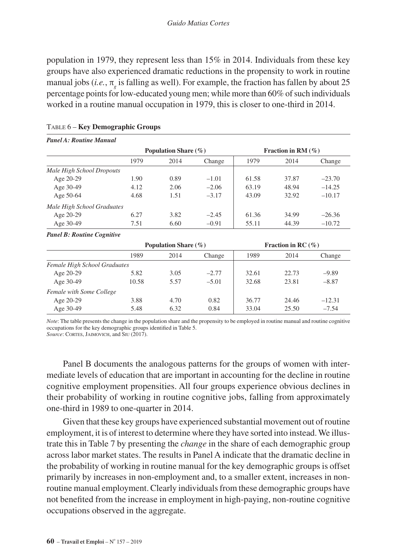population in 1979, they represent less than 15% in 2014. Individuals from these key groups have also experienced dramatic reductions in the propensity to work in routine manual jobs (*i.e.*,  $\pi$  is falling as well). For example, the fraction has fallen by about 25 percentage points for low-educated young men; while more than 60% of such individuals worked in a routine manual occupation in 1979, this is closer to one-third in 2014.

| <b>Panel A: Routine Manual</b>                |      |                          |         |       |                       |          |  |
|-----------------------------------------------|------|--------------------------|---------|-------|-----------------------|----------|--|
|                                               |      | Population Share $(\% )$ |         |       | Fraction in RM $(\%)$ |          |  |
|                                               | 1979 | 2014                     | Change  | 1979  | 2014                  | Change   |  |
| Male High School Dropouts                     |      |                          |         |       |                       |          |  |
| Age 20-29                                     | 1.90 | 0.89                     | $-1.01$ | 61.58 | 37.87                 | $-23.70$ |  |
| Age 30-49                                     | 4.12 | 2.06                     | $-2.06$ | 63.19 | 48.94                 | $-14.25$ |  |
| Age 50-64                                     | 4.68 | 1.51                     | $-3.17$ | 43.09 | 32.92                 | $-10.17$ |  |
| Male High School Graduates                    |      |                          |         |       |                       |          |  |
| Age 20-29                                     | 6.27 | 3.82                     | $-2.45$ | 61.36 | 34.99                 | $-26.36$ |  |
| Age 30-49                                     | 7.51 | 6.60                     | $-0.91$ | 55.11 | 44.39                 | $-10.72$ |  |
| $\mathbf{r}$ in $\mathbf{r}$ and $\mathbf{r}$ |      |                          |         |       |                       |          |  |

#### Table 6 – **Key Demographic Groups**

#### *Panel B: Routine Cognitive*

|                              |       | Population Share $(\% )$ |         | Fraction in RC $(\%)$ |       |          |
|------------------------------|-------|--------------------------|---------|-----------------------|-------|----------|
|                              | 1989  | 2014                     | Change  | 1989                  | 2014  | Change   |
| Female High School Graduates |       |                          |         |                       |       |          |
| Age 20-29                    | 5.82  | 3.05                     | $-2.77$ | 32.61                 | 22.73 | $-9.89$  |
| Age 30-49                    | 10.58 | 5.57                     | $-5.01$ | 32.68                 | 23.81 | $-8.87$  |
| Female with Some College     |       |                          |         |                       |       |          |
| Age 20-29                    | 3.88  | 4.70                     | 0.82    | 36.77                 | 24.46 | $-12.31$ |
| Age 30-49                    | 5.48  | 6.32                     | 0.84    | 33.04                 | 25.50 | $-7.54$  |

*Note*: The table presents the change in the population share and the propensity to be employed in routine manual and routine cognitive occupations for the key demographic groups identified in Table 5.

Source: CORTES, JAIMOVICH, and SIU (2017).

Panel B documents the analogous patterns for the groups of women with intermediate levels of education that are important in accounting for the decline in routine cognitive employment propensities. All four groups experience obvious declines in their probability of working in routine cognitive jobs, falling from approximately one-third in 1989 to one-quarter in 2014.

Given that these key groups have experienced substantial movement out of routine employment, it is of interest to determine where they have sorted into instead. We illustrate this in Table 7 by presenting the *change* in the share of each demographic group across labor market states. The results in Panel A indicate that the dramatic decline in the probability of working in routine manual for the key demographic groups is offset primarily by increases in non-employment and, to a smaller extent, increases in nonroutine manual employment. Clearly individuals from these demographic groups have not benefited from the increase in employment in high-paying, non-routine cognitive occupations observed in the aggregate.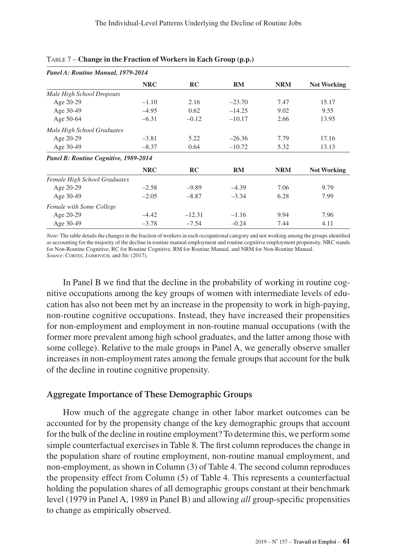| Panel A: Routine Manual, 1979-2014    |            |          |          |            |                    |
|---------------------------------------|------------|----------|----------|------------|--------------------|
|                                       | <b>NRC</b> | RC       | RM       | <b>NRM</b> | <b>Not Working</b> |
| Male High School Dropouts             |            |          |          |            |                    |
| Age 20-29                             | $-1.10$    | 2.16     | $-23.70$ | 7.47       | 15.17              |
| Age 30-49                             | $-4.95$    | 0.62     | $-14.25$ | 9.02       | 9.55               |
| Age 50-64                             | $-6.31$    | $-0.12$  | $-10.17$ | 2.66       | 13.95              |
| Male High School Graduates            |            |          |          |            |                    |
| Age 20-29                             | $-3.81$    | 5.22     | $-26.36$ | 7.79       | 17.16              |
| Age 30-49                             | $-8.37$    | 0.64     | $-10.72$ | 5.32       | 13.13              |
| Panel B: Routine Cognitive, 1989-2014 |            |          |          |            |                    |
|                                       | <b>NRC</b> | RC       | RM       | <b>NRM</b> | <b>Not Working</b> |
| Female High School Graduates          |            |          |          |            |                    |
| Age 20-29                             | $-2.58$    | $-9.89$  | $-4.39$  | 7.06       | 9.79               |
| Age 30-49                             | $-2.05$    | $-8.87$  | $-3.34$  | 6.28       | 7.99               |
| Female with Some College              |            |          |          |            |                    |
| Age 20-29                             | $-4.42$    | $-12.31$ | $-1.16$  | 9.94       | 7.96               |
| Age 30-49                             | $-3.78$    | $-7.54$  | $-0.24$  | 7.44       | 4.11               |

| TABLE 7 - Change in the Fraction of Workers in Each Group (p.p.) |  |  |  |  |  |  |
|------------------------------------------------------------------|--|--|--|--|--|--|
|------------------------------------------------------------------|--|--|--|--|--|--|

*Note*: The table details the changes in the fraction of workers in each occupational category and not working among the groups identified as accounting for the majority of the decline in routine manual employment and routine cognitive employment propensity. NRC stands for Non-Routine Cognitive, RC for Routine Cognitive, RM for Routine Manual, and NRM for Non-Routine Manual. Source: CORTES, JAIMOVICH, and SIU (2017).

In Panel B we find that the decline in the probability of working in routine cognitive occupations among the key groups of women with intermediate levels of education has also not been met by an increase in the propensity to work in high-paying, non-routine cognitive occupations. Instead, they have increased their propensities for non-employment and employment in non-routine manual occupations (with the former more prevalent among high school graduates, and the latter among those with some college). Relative to the male groups in Panel A, we generally observe smaller increases in non-employment rates among the female groups that account for the bulk of the decline in routine cognitive propensity.

## **Aggregate Importance of These Demographic Groups**

How much of the aggregate change in other labor market outcomes can be accounted for by the propensity change of the key demographic groups that account for the bulk of the decline in routine employment? To determine this, we perform some simple counterfactual exercises in Table 8. The first column reproduces the change in the population share of routine employment, non-routine manual employment, and non-employment, as shown in Column (3) of Table 4. The second column reproduces the propensity effect from Column (5) of Table 4. This represents a counterfactual holding the population shares of all demographic groups constant at their benchmark level (1979 in Panel A, 1989 in Panel B) and allowing *all* group-specific propensities to change as empirically observed.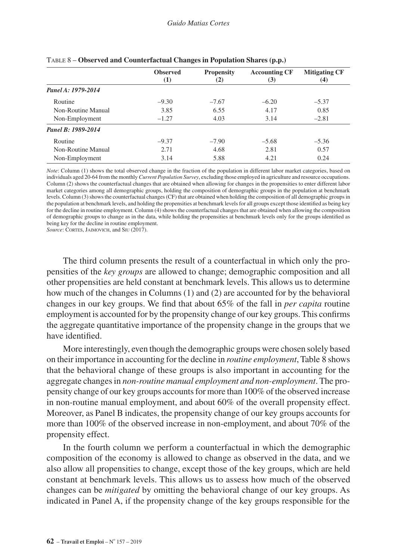|                    | <b>Observed</b><br>$\left(1\right)$ | <b>Propensity</b><br>(2) | <b>Accounting CF</b><br>(3) | <b>Mitigating CF</b><br>(4) |
|--------------------|-------------------------------------|--------------------------|-----------------------------|-----------------------------|
| Panel A: 1979-2014 |                                     |                          |                             |                             |
| Routine            | $-9.30$                             | $-7.67$                  | $-6.20$                     | $-5.37$                     |
| Non-Routine Manual | 3.85                                | 6.55                     | 4.17                        | 0.85                        |
| Non-Employment     | $-1.27$                             | 4.03                     | 3.14                        | $-2.81$                     |
| Panel B: 1989-2014 |                                     |                          |                             |                             |
| Routine            | $-9.37$                             | $-7.90$                  | $-5.68$                     | $-5.36$                     |
| Non-Routine Manual | 2.71                                | 4.68                     | 2.81                        | 0.57                        |
| Non-Employment     | 3.14                                | 5.88                     | 4.21                        | 0.24                        |

|  |  | TABLE 8 - Observed and Counterfactual Changes in Population Shares (p.p.) |  |  |  |
|--|--|---------------------------------------------------------------------------|--|--|--|
|--|--|---------------------------------------------------------------------------|--|--|--|

*Note*: Column (1) shows the total observed change in the fraction of the population in different labor market categories, based on individuals aged 20-64 from the monthly *Current Population Survey*, excluding those employed in agriculture and resource occupations. Column (2) shows the counterfactual changes that are obtained when allowing for changes in the propensities to enter different labor market categories among all demographic groups, holding the composition of demographic groups in the population at benchmark levels. Column (3) shows the counterfactual changes (CF) that are obtained when holding the composition of all demographic groups in the population at benchmark levels, and holding the propensities at benchmark levels for all groups except those identified as being key for the decline in routine employment. Column (4) shows the counterfactual changes that are obtained when allowing the composition of demographic groups to change as in the data, while holding the propensities at benchmark levels only for the groups identified as being key for the decline in routine employment.

Source: CORTES, JAIMOVICH, and SIU (2017).

The third column presents the result of a counterfactual in which only the propensities of the *key groups* are allowed to change; demographic composition and all other propensities are held constant at benchmark levels. This allows us to determine how much of the changes in Columns (1) and (2) are accounted for by the behavioral changes in our key groups. We find that about 65% of the fall in *per capita* routine employment is accounted for by the propensity change of our key groups. This confirms the aggregate quantitative importance of the propensity change in the groups that we have identified.

More interestingly, even though the demographic groups were chosen solely based on their importance in accounting for the decline in *routine employment*, Table 8 shows that the behavioral change of these groups is also important in accounting for the aggregate changes in *non-routine manual employment and non-employment*. The propensity change of our key groups accounts for more than 100% of the observed increase in non-routine manual employment, and about 60% of the overall propensity effect. Moreover, as Panel B indicates, the propensity change of our key groups accounts for more than 100% of the observed increase in non-employment, and about 70% of the propensity effect.

In the fourth column we perform a counterfactual in which the demographic composition of the economy is allowed to change as observed in the data, and we also allow all propensities to change, except those of the key groups, which are held constant at benchmark levels. This allows us to assess how much of the observed changes can be *mitigated* by omitting the behavioral change of our key groups. As indicated in Panel A, if the propensity change of the key groups responsible for the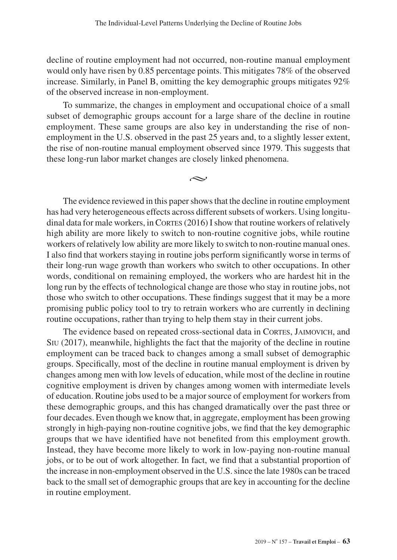decline of routine employment had not occurred, non-routine manual employment would only have risen by 0.85 percentage points. This mitigates 78% of the observed increase. Similarly, in Panel B, omitting the key demographic groups mitigates 92% of the observed increase in non-employment.

To summarize, the changes in employment and occupational choice of a small subset of demographic groups account for a large share of the decline in routine employment. These same groups are also key in understanding the rise of nonemployment in the U.S. observed in the past 25 years and, to a slightly lesser extent, the rise of non-routine manual employment observed since 1979. This suggests that these long-run labor market changes are closely linked phenomena.

 $\sim$ 

The evidence reviewed in this paper shows that the decline in routine employment has had very heterogeneous effects across different subsets of workers. Using longitudinal data for male workers, in CORTES  $(2016)$  I show that routine workers of relatively high ability are more likely to switch to non-routine cognitive jobs, while routine workers of relatively low ability are more likely to switch to non-routine manual ones. I also find that workers staying in routine jobs perform significantly worse in terms of their long-run wage growth than workers who switch to other occupations. In other words, conditional on remaining employed, the workers who are hardest hit in the long run by the effects of technological change are those who stay in routine jobs, not those who switch to other occupations. These findings suggest that it may be a more promising public policy tool to try to retrain workers who are currently in declining routine occupations, rather than trying to help them stay in their current jobs.

The evidence based on repeated cross-sectional data in Cortes, Jaimovich, and Siu (2017), meanwhile, highlights the fact that the majority of the decline in routine employment can be traced back to changes among a small subset of demographic groups. Specifically, most of the decline in routine manual employment is driven by changes among men with low levels of education, while most of the decline in routine cognitive employment is driven by changes among women with intermediate levels of education. Routine jobs used to be a major source of employment for workers from these demographic groups, and this has changed dramatically over the past three or four decades. Even though we know that, in aggregate, employment has been growing strongly in high-paying non-routine cognitive jobs, we find that the key demographic groups that we have identified have not benefited from this employment growth. Instead, they have become more likely to work in low-paying non-routine manual jobs, or to be out of work altogether. In fact, we find that a substantial proportion of the increase in non-employment observed in the U.S. since the late 1980s can be traced back to the small set of demographic groups that are key in accounting for the decline in routine employment.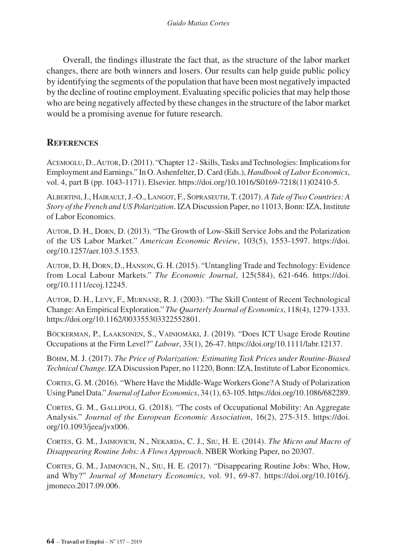Overall, the findings illustrate the fact that, as the structure of the labor market changes, there are both winners and losers. Our results can help guide public policy by identifying the segments of the population that have been most negatively impacted by the decline of routine employment. Evaluating specific policies that may help those who are being negatively affected by these changes in the structure of the labor market would be a promising avenue for future research.

# **References**

Acemoglu, D., Autor, D. (2011). "Chapter 12 - Skills, Tasks and Technologies: Implications for Employment and Earnings." In O. Ashenfelter, D. Card (Eds.), *Handbook of Labor Economics*, vol. 4, part B (pp. 1043-1171). Elsevier. [https://doi.org/10.1016/S0169-7218\(11\)02410-5.](https://doi.org/10.1016/S0169-7218(11)02410-5)

Albertini, J., Hairault, J.-O., Langot, F., Sopraseuth, T. (2017). *A Tale of Two Countries: A Story of the French and US Polarization*. IZA Discussion Paper, no 11013, Bonn: IZA, Institute of Labor Economics.

Autor, D. H., Dorn, D. (2013). "The Growth of Low-Skill Service Jobs and the Polarization of the US Labor Market." *American Economic Review*, 103(5), 1553-1597. [https://doi.](https://doi.org/10.1257/aer.103.5.1553) [org/10.1257/aer.103.5.1553](https://doi.org/10.1257/aer.103.5.1553).

Autor, D. H, Dorn, D., Hanson, G. H. (2015). "Untangling Trade and Technology: Evidence from Local Labour Markets." *The Economic Journal*, 125(584), 621-646. [https://doi.](https://doi.org/10.1111/ecoj.12245) [org/10.1111/ecoj.12245](https://doi.org/10.1111/ecoj.12245).

Autor, D. H., Levy, F., Murnane, R. J. (2003). "The Skill Content of Recent Technological Change: An Empirical Exploration." *The Quarterly Journal of Economics*, 118(4), 1279-1333. [https://doi.org/10.1162/003355303322552801.](https://doi.org/10.1162/003355303322552801)

Böckerman, P., Laaksonen, S., Vainiomäki, J. (2019). "Does ICT Usage Erode Routine Occupations at the Firm Level?" *Labour*, 33(1), 26-47. https://doi.org/10.1111/labr.12137.

Böhm, M. J. (2017). *The Price of Polarization: Estimating Task Prices under Routine-Biased Technical Change.* IZA Discussion Paper, no 11220, Bonn: IZA, Institute of Labor Economics.

Cortes, G. M. (2016). "Where Have the Middle-Wage Workers Gone? A Study of Polarization Using Panel Data." *Journal of Labor Economics*, 34 (1), 63-105. [https://doi.org/10.1086/682289.](https://doi.org/10.1086/682289)

Cortes, G. M., Gallipoli, G. (2018). "The costs of Occupational Mobility: An Aggregate Analysis." *Journal of the European Economic Association*, 16(2), 275-315. [https://doi.](https://doi.org/10.1093/jeea/jvx006) [org/10.1093/jeea/jvx006.](https://doi.org/10.1093/jeea/jvx006)

Cortes, G. M., Jaimovich, N., Nekarda, C. J., Siu, H. E. (2014). *The Micro and Macro of Disappearing Routine Jobs: A Flows Approach*. NBER Working Paper, no 20307.

Cortes, G. M., Jaimovich, N., Siu, H. E. (2017). "Disappearing Routine Jobs: Who, How, and Why?" *Journal of Monetary Economics*, vol. 91, 69-87. [https://doi.org/10.1016/j.](https://doi.org/10.1016/j.jmoneco.2017.09.006) [jmoneco.2017.09.006.](https://doi.org/10.1016/j.jmoneco.2017.09.006)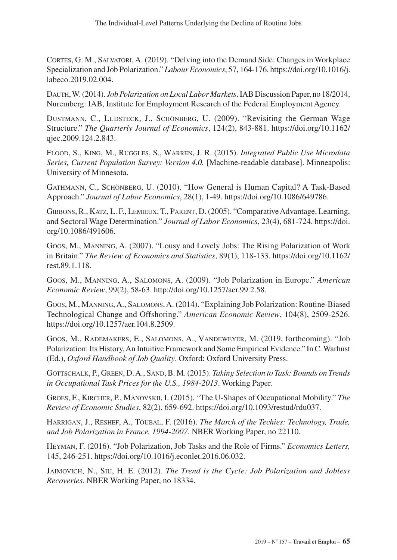Cortes, G. M., Salvatori, A. (2019). "Delving into the Demand Side: Changes in Workplace Specialization and Job Polarization." *Labour Economics*, 57, 164-176. [https://doi.org/10.1016/j.](https://doi.org/10.1016/j.labeco.2019.02.004) [labeco.2019.02.004](https://doi.org/10.1016/j.labeco.2019.02.004).

Dauth, W. (2014). *Job Polarization on Local Labor Markets*. IAB Discussion Paper, no 18/2014, Nuremberg: IAB, Institute for Employment Research of the Federal Employment Agency.

DUSTMANN, C., LUDSTECK, J., SCHÖNBERG, U. (2009). "Revisiting the German Wage Structure." *The Quarterly Journal of Economics*, 124(2), 843-881. [https://doi.org/10.1162/](https://doi.org/10.1162/qjec.2009.124.2.843) [qjec.2009.124.2.843](https://doi.org/10.1162/qjec.2009.124.2.843).

Flood, S., King, M., Ruggles, S., Warren, J. R. (2015). *Integrated Public Use Microdata Series, Current Population Survey: Version 4.0.* [Machine-readable database]. Minneapolis: University of Minnesota.

Gathmann, C., Schönberg, U. (2010). "How General is Human Capital? A Task-Based Approach." *Journal of Labor Economics*, 28(1), 1-49. [https://doi.org/10.1086/649786.](https://doi.org/10.1086/649786)

Gibbons, R., Katz, L. F., Lemieux, T., Parent, D. (2005). "Comparative Advantage, Learning, and Sectoral Wage Determination." *Journal of Labor Economics*, 23(4), 681-724. [https://doi.](https://doi.org/10.1086/491606) [org/10.1086/491606.](https://doi.org/10.1086/491606)

Goos, M., Manning, A. (2007). "Lousy and Lovely Jobs: The Rising Polarization of Work in Britain." *The Review of Economics and Statistics*, 89(1), 118-133. [https://doi.org/10.1162/](https://doi.org/10.1162/rest.89.1.118) [rest.89.1.118.](https://doi.org/10.1162/rest.89.1.118)

Goos, M., Manning, A., Salomons, A. (2009). "Job Polarization in Europe." *American Economic Review*, 99(2), 58-63.<http://doi.org/10.1257/aer.99.2.58>.

Goos, M., Manning, A., Salomons, A. (2014). "Explaining Job Polarization: Routine-Biased Technological Change and Offshoring." *American Economic Review*, 104(8), 2509-2526. <https://doi.org/10.1257/aer.104.8.2509>.

Goos, M., Rademakers, E., Salomons, A., Vandeweyer, M. (2019, forthcoming). "Job Polarization: Its History, An Intuitive Framework and Some Empirical Evidence." In C. Warhust (Ed.), *Oxford Handbook of Job Quality*. Oxford: Oxford University Press.

GOTTSCHALK, P., GREEN, D. A., SAND, B. M. (2015). *Taking Selection to Task: Bounds on Trends in Occupational Task Prices for the U.S., 1984-2013*. Working Paper.

Groes, F., Kircher, P., Manovskii, I. (2015). "The U-Shapes of Occupational Mobility." *The Review of Economic Studies*, 82(2), 659-692. [https://doi.org/10.1093/restud/rdu037.](https://doi.org/10.1093/restud/rdu037)

Harrigan, J., Reshef, A., Toubal, F. (2016). *The March of the Techies: Technology, Trade, and Job Polarization in France, 1994-2007*. NBER Working Paper, no 22110.

Heyman, F. (2016). "Job Polarization, Job Tasks and the Role of Firms." *Economics Letters,*  145, 246-251. <https://doi.org/10.1016/j.econlet.2016.06.032>.

Jaimovich, N., Siu, H. E. (2012). *The Trend is the Cycle: Job Polarization and Jobless Recoveries*. NBER Working Paper, no 18334.